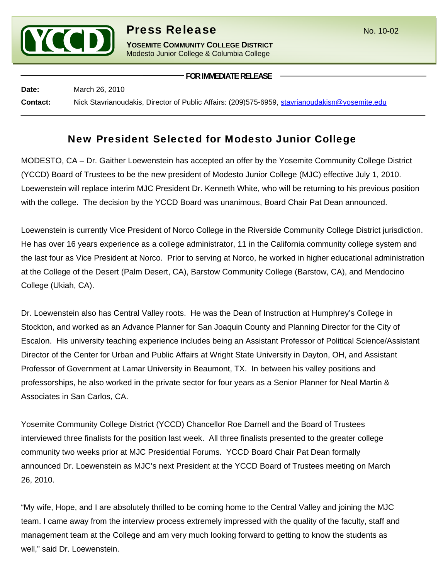

## **Press Release** No. 10-02

**YOSEMITE COMMUNITY COLLEGE DISTRICT** Modesto Junior College & Columbia College

**FOR IMMEDIATE RELEASE**

**Date:** March 26, 2010 **Contact:** Nick Stavrianoudakis, Director of Public Affairs: (209)575-6959, [stavrianoudakisn@yosemite.edu](mailto:stavrianoudakisn@yosemite.edu)

## New President Selected for Modesto Junior College

MODESTO, CA – Dr. Gaither Loewenstein has accepted an offer by the Yosemite Community College District (YCCD) Board of Trustees to be the new president of Modesto Junior College (MJC) effective July 1, 2010. Loewenstein will replace interim MJC President Dr. Kenneth White, who will be returning to his previous position with the college. The decision by the YCCD Board was unanimous, Board Chair Pat Dean announced.

Loewenstein is currently Vice President of Norco College in the Riverside Community College District jurisdiction. He has over 16 years experience as a college administrator, 11 in the California community college system and the last four as Vice President at Norco. Prior to serving at Norco, he worked in higher educational administration at the College of the Desert (Palm Desert, CA), Barstow Community College (Barstow, CA), and Mendocino College (Ukiah, CA).

Dr. Loewenstein also has Central Valley roots. He was the Dean of Instruction at Humphrey's College in Stockton, and worked as an Advance Planner for San Joaquin County and Planning Director for the City of Escalon. His university teaching experience includes being an Assistant Professor of Political Science/Assistant Director of the Center for Urban and Public Affairs at Wright State University in Dayton, OH, and Assistant Professor of Government at Lamar University in Beaumont, TX. In between his valley positions and professorships, he also worked in the private sector for four years as a Senior Planner for Neal Martin & Associates in San Carlos, CA.

Yosemite Community College District (YCCD) Chancellor Roe Darnell and the Board of Trustees interviewed three finalists for the position last week. All three finalists presented to the greater college community two weeks prior at MJC Presidential Forums. YCCD Board Chair Pat Dean formally announced Dr. Loewenstein as MJC's next President at the YCCD Board of Trustees meeting on March 26, 2010.

"My wife, Hope, and I are absolutely thrilled to be coming home to the Central Valley and joining the MJC team. I came away from the interview process extremely impressed with the quality of the faculty, staff and management team at the College and am very much looking forward to getting to know the students as well," said Dr. Loewenstein.